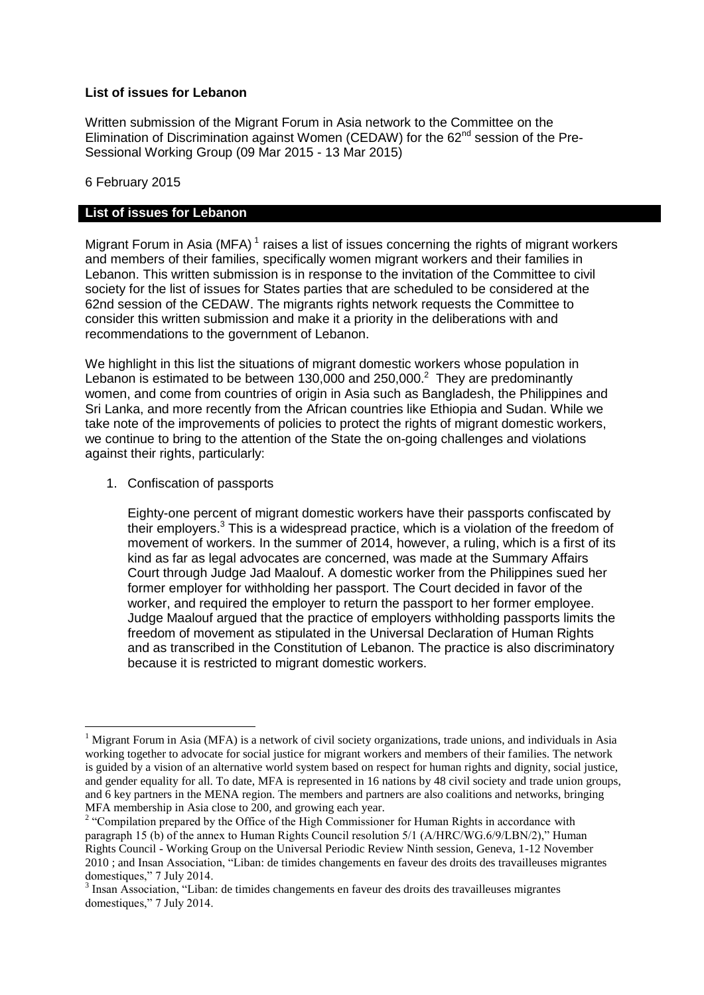## **List of issues for Lebanon**

Written submission of the Migrant Forum in Asia network to the Committee on the Elimination of Discrimination against Women (CEDAW) for the 62<sup>nd</sup> session of the Pre-Sessional Working Group (09 Mar 2015 - 13 Mar 2015)

6 February 2015

## **List of issues for Lebanon**

Migrant Forum in Asia (MFA)<sup>1</sup> raises a list of issues concerning the rights of migrant workers and members of their families, specifically women migrant workers and their families in Lebanon. This written submission is in response to the invitation of the Committee to civil society for the list of issues for States parties that are scheduled to be considered at the 62nd session of the CEDAW. The migrants rights network requests the Committee to consider this written submission and make it a priority in the deliberations with and recommendations to the government of Lebanon.

We highlight in this list the situations of migrant domestic workers whose population in Lebanon is estimated to be between 130,000 and 250,000. $^2$  They are predominantly women, and come from countries of origin in Asia such as Bangladesh, the Philippines and Sri Lanka, and more recently from the African countries like Ethiopia and Sudan. While we take note of the improvements of policies to protect the rights of migrant domestic workers, we continue to bring to the attention of the State the on-going challenges and violations against their rights, particularly:

1. Confiscation of passports

1

Eighty-one percent of migrant domestic workers have their passports confiscated by their employers. <sup>3</sup> This is a widespread practice, which is a violation of the freedom of movement of workers. In the summer of 2014, however, a ruling, which is a first of its kind as far as legal advocates are concerned, was made at the Summary Affairs Court through Judge Jad Maalouf. A domestic worker from the Philippines sued her former employer for withholding her passport. The Court decided in favor of the worker, and required the employer to return the passport to her former employee. Judge Maalouf argued that the practice of employers withholding passports limits the freedom of movement as stipulated in the Universal Declaration of Human Rights and as transcribed in the Constitution of Lebanon. The practice is also discriminatory because it is restricted to migrant domestic workers.

<sup>&</sup>lt;sup>1</sup> Migrant Forum in Asia (MFA) is a network of civil society organizations, trade unions, and individuals in Asia working together to advocate for social justice for migrant workers and members of their families. The network is guided by a vision of an alternative world system based on respect for human rights and dignity, social justice, and gender equality for all. To date, MFA is represented in 16 nations by 48 civil society and trade union groups, and 6 key partners in the MENA region. The members and partners are also coalitions and networks, bringing MFA membership in Asia close to 200, and growing each year.

<sup>&</sup>lt;sup>2</sup> "Compilation prepared by the Office of the High Commissioner for Human Rights in accordance with paragraph 15 (b) of the annex to Human Rights Council resolution 5/1 (A/HRC/WG.6/9/LBN/2)," Human Rights Council - Working Group on the Universal Periodic Review Ninth session, Geneva, 1-12 November 2010 ; and Insan Association, "Liban: de timides changements en faveur des droits des travailleuses migrantes domestiques," 7 July 2014.

<sup>&</sup>lt;sup>3</sup> Insan Association, "Liban: de timides changements en faveur des droits des travailleuses migrantes domestiques," 7 July 2014.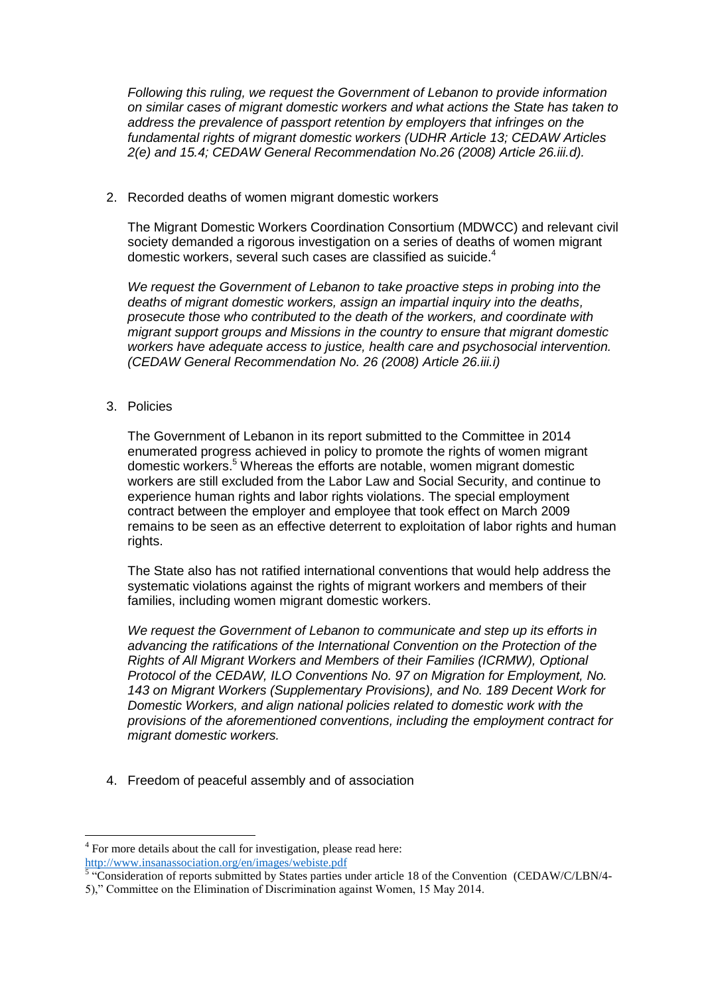*Following this ruling, we request the Government of Lebanon to provide information on similar cases of migrant domestic workers and what actions the State has taken to address the prevalence of passport retention by employers that infringes on the fundamental rights of migrant domestic workers (UDHR Article 13; CEDAW Articles 2(e) and 15.4; CEDAW General Recommendation No.26 (2008) Article 26.iii.d).*

2. Recorded deaths of women migrant domestic workers

The Migrant Domestic Workers Coordination Consortium (MDWCC) and relevant civil society demanded a rigorous investigation on a series of deaths of women migrant domestic workers, several such cases are classified as suicide.<sup>4</sup>

*We request the Government of Lebanon to take proactive steps in probing into the deaths of migrant domestic workers, assign an impartial inquiry into the deaths, prosecute those who contributed to the death of the workers, and coordinate with migrant support groups and Missions in the country to ensure that migrant domestic workers have adequate access to justice, health care and psychosocial intervention. (CEDAW General Recommendation No. 26 (2008) Article 26.iii.i)*

3. Policies

<u>.</u>

The Government of Lebanon in its report submitted to the Committee in 2014 enumerated progress achieved in policy to promote the rights of women migrant domestic workers.<sup>5</sup> Whereas the efforts are notable, women migrant domestic workers are still excluded from the Labor Law and Social Security, and continue to experience human rights and labor rights violations. The special employment contract between the employer and employee that took effect on March 2009 remains to be seen as an effective deterrent to exploitation of labor rights and human rights.

The State also has not ratified international conventions that would help address the systematic violations against the rights of migrant workers and members of their families, including women migrant domestic workers.

*We request the Government of Lebanon to communicate and step up its efforts in advancing the ratifications of the International Convention on the Protection of the Rights of All Migrant Workers and Members of their Families (ICRMW), Optional Protocol of the CEDAW, ILO Conventions No. 97 on Migration for Employment, No. 143 on Migrant Workers (Supplementary Provisions), and No. 189 Decent Work for Domestic Workers, and align national policies related to domestic work with the provisions of the aforementioned conventions, including the employment contract for migrant domestic workers.* 

4. Freedom of peaceful assembly and of association

<sup>&</sup>lt;sup>4</sup> For more details about the call for investigation, please read here:

<http://www.insanassociation.org/en/images/webiste.pdf><br><sup>5</sup> "Consideration of reports submitted by States parties under article 18 of the Convention (CEDAW/C/LBN/4-5)," Committee on the Elimination of Discrimination against Women, 15 May 2014.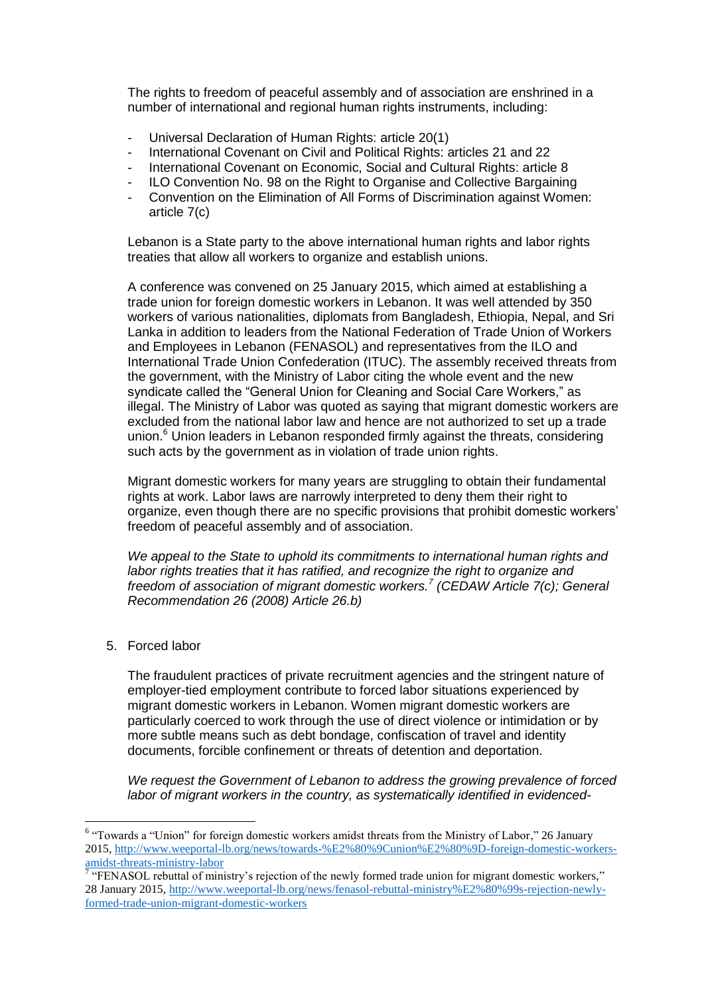The rights to freedom of peaceful assembly and of association are enshrined in a number of international and regional human rights instruments, including:

- Universal Declaration of Human Rights: article 20(1)
- International Covenant on Civil and Political Rights: articles 21 and 22
- International Covenant on Economic, Social and Cultural Rights: article 8
- ILO Convention No. 98 on the Right to Organise and Collective Bargaining
- Convention on the Elimination of All Forms of Discrimination against Women: article 7(c)

Lebanon is a State party to the above international human rights and labor rights treaties that allow all workers to organize and establish unions.

A conference was convened on 25 January 2015, which aimed at establishing a trade union for foreign domestic workers in Lebanon. It was well attended by 350 workers of various nationalities, diplomats from Bangladesh, Ethiopia, Nepal, and Sri Lanka in addition to leaders from the National Federation of Trade Union of Workers and Employees in Lebanon (FENASOL) and representatives from the ILO and International Trade Union Confederation (ITUC). The assembly received threats from the government, with the Ministry of Labor citing the whole event and the new syndicate called the "General Union for Cleaning and Social Care Workers," as illegal. The Ministry of Labor was quoted as saying that migrant domestic workers are excluded from the national labor law and hence are not authorized to set up a trade union.<sup>6</sup> Union leaders in Lebanon responded firmly against the threats, considering such acts by the government as in violation of trade union rights.

Migrant domestic workers for many years are struggling to obtain their fundamental rights at work. Labor laws are narrowly interpreted to deny them their right to organize, even though there are no specific provisions that prohibit domestic workers' freedom of peaceful assembly and of association.

*We appeal to the State to uphold its commitments to international human rights and labor rights treaties that it has ratified, and recognize the right to organize and freedom of association of migrant domestic workers.<sup>7</sup> (CEDAW Article 7(c); General Recommendation 26 (2008) Article 26.b)*

5. Forced labor

The fraudulent practices of private recruitment agencies and the stringent nature of employer-tied employment contribute to forced labor situations experienced by migrant domestic workers in Lebanon. Women migrant domestic workers are particularly coerced to work through the use of direct violence or intimidation or by more subtle means such as debt bondage, confiscation of travel and identity documents, forcible confinement or threats of detention and deportation.

*We request the Government of Lebanon to address the growing prevalence of forced labor of migrant workers in the country, as systematically identified in evidenced-*

 6 "Towards a "Union" for foreign domestic workers amidst threats from the Ministry of Labor," 26 January 2015, [http://www.weeportal-lb.org/news/towards-%E2%80%9Cunion%E2%80%9D-foreign-domestic-workers](http://www.weeportal-lb.org/news/towards-%E2%80%9Cunion%E2%80%9D-foreign-domestic-workers-amidst-threats-ministry-labor)[amidst-threats-ministry-labor](http://www.weeportal-lb.org/news/towards-%E2%80%9Cunion%E2%80%9D-foreign-domestic-workers-amidst-threats-ministry-labor)<br><sup>7</sup> "FENASOL rebuttal of ministry's rejection of the newly formed trade union for migrant domestic workers,"

<sup>28</sup> January 2015, [http://www.weeportal-lb.org/news/fenasol-rebuttal-ministry%E2%80%99s-rejection-newly](http://www.weeportal-lb.org/news/fenasol-rebuttal-ministry%E2%80%99s-rejection-newly-formed-trade-union-migrant-domestic-workers)[formed-trade-union-migrant-domestic-workers](http://www.weeportal-lb.org/news/fenasol-rebuttal-ministry%E2%80%99s-rejection-newly-formed-trade-union-migrant-domestic-workers)